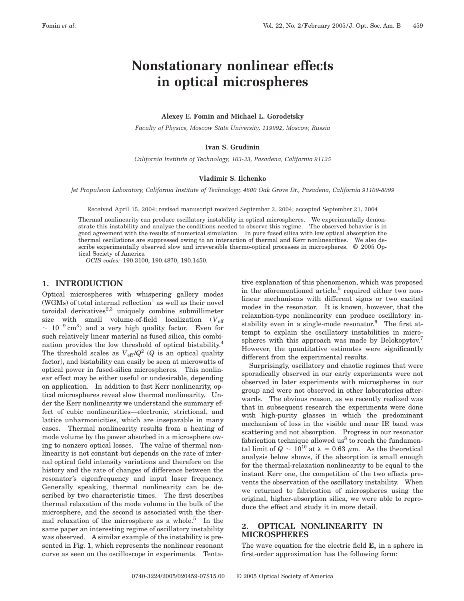# **Nonstationary nonlinear effects in optical microspheres**

## **Alexey E. Fomin and Michael L. Gorodetsky**

*Faculty of Physics, Moscow State University, 119992, Moscow, Russia*

## **Ivan S. Grudinin**

*California Institute of Technology, 103-33, Pasadena, California 91125*

#### **Vladimir S. Ilchenko**

*Jet Propulsion Laboratory, California Institute of Technology, 4800 Oak Grove Dr., Pasadena, California 91109-8099*

Received April 15, 2004; revised manuscript received September 2, 2004; accepted September 21, 2004

Thermal nonlinearity can produce oscillatory instability in optical microspheres. We experimentally demonstrate this instability and analyze the conditions needed to observe this regime. The observed behavior is in good agreement with the results of numerical simulation. In pure fused silica with low optical absorption the thermal oscillations are suppressed owing to an interaction of thermal and Kerr nonlinearities. We also describe experimentally observed slow and irreversible thermo-optical processes in microspheres. © 2005 Optical Society of America

*OCIS codes:* 190.3100, 190.4870, 190.1450.

## **1. INTRODUCTION**

Optical microspheres with whispering gallery modes (WGMs) of total internal reflection<sup>1</sup> as well as their novel toroidal derivatives $2,3$  uniquely combine submillimeter size with small volume-of-field localization  $(V_{\text{eff}})$  $\sim 10^{-9}$  cm<sup>3</sup>) and a very high quality factor. Even for such relatively linear material as fused silica, this combination provides the low threshold of optical bistability.4 The threshold scales as  $V_{\text{eff}} / Q^2$  (*Q* is an optical quality factor), and bistability can easily be seen at microwatts of optical power in fused-silica microspheres. This nonlinear effect may be either useful or undesirable, depending on application. In addition to fast Kerr nonlinearity, optical microspheres reveal slow thermal nonlinearity. Under the Kerr nonlinearity we understand the summary effect of cubic nonlinearities—electronic, strictional, and lattice unharmonicities, which are inseparable in many cases. Thermal nonlinearity results from a heating of mode volume by the power absorbed in a microsphere owing to nonzero optical losses. The value of thermal nonlinearity is not constant but depends on the rate of internal optical field intensity variations and therefore on the history and the rate of changes of difference between the resonator's eigenfrequency and input laser frequency. Generally speaking, thermal nonlinearity can be described by two characteristic times. The first describes thermal relaxation of the mode volume in the bulk of the microsphere, and the second is associated with the thermal relaxation of the microsphere as a whole.<sup>5</sup> In the same paper an interesting regime of oscillatory instability was observed. A similar example of the instability is presented in Fig. 1, which represents the nonlinear resonant curve as seen on the oscilloscope in experiments. Tentative explanation of this phenomenon, which was proposed in the aforementioned article, $5$  required either two nonlinear mechanisms with different signs or two excited modes in the resonator. It is known, however, that the relaxation-type nonlinearity can produce oscillatory instability even in a single-mode resonator.6 The first attempt to explain the oscillatory instabilities in microspheres with this approach was made by Belokopytov.<sup>7</sup> However, the quantitative estimates were significantly different from the experimental results.

Surprisingly, oscillatory and chaotic regimes that were sporadically observed in our early experiments were not observed in later experiments with microspheres in our group and were not observed in other laboratories afterwards. The obvious reason, as we recently realized was that in subsequent research the experiments were done with high-purity glasses in which the predominant mechanism of loss in the visible and near IR band was scattering and not absorption. Progress in our resonator fabrication technique allowed  $us^8$  to reach the fundamental limit of  $Q \sim 10^{10}$  at  $\lambda = 0.63$   $\mu$ m. As the theoretical analysis below shows, if the absorption is small enough for the thermal-relaxation nonlinearity to be equal to the instant Kerr one, the competition of the two effects prevents the observation of the oscillatory instability. When we returned to fabrication of microspheres using the original, higher-absorption silica, we were able to reproduce the effect and study it in more detail.

#### **2. OPTICAL NONLINEARITY IN MICROSPHERES**

The wave equation for the electric field **E***<sup>s</sup>* in a sphere in first-order approximation has the following form: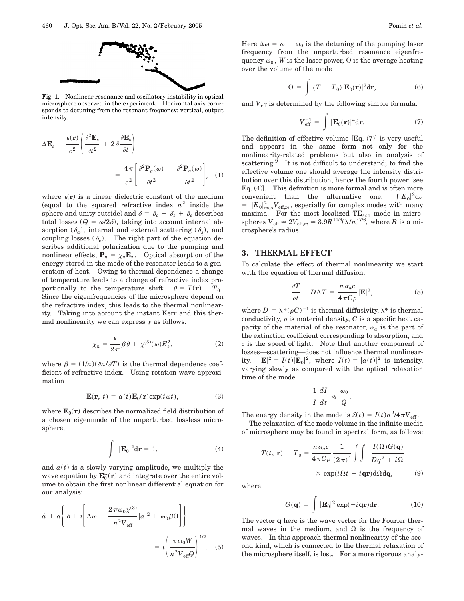

Fig. 1. Nonlinear resonance and oscillatory instability in optical microsphere observed in the experiment. Horizontal axis corresponds to detuning from the resonant frequency; vertical, output intensity.

$$
\Delta \mathbf{E}_s - \frac{\epsilon(\mathbf{r})}{c^2} \left( \frac{\partial^2 \mathbf{E}_s}{\partial t^2} + 2 \delta \frac{\partial \mathbf{E}_s}{\partial t} \right)
$$
  
= 
$$
\frac{4 \pi}{c^2} \left[ \frac{\partial^2 \mathbf{P}_p(\omega)}{\partial t^2} + \frac{\partial^2 \mathbf{P}_n(\omega)}{\partial t^2} \right], \quad (1)
$$

where  $\epsilon(\mathbf{r})$  is a linear dielectric constant of the medium (equal to the squared refractive index  $n^2$  inside the sphere and unity outside) and  $\delta = \delta_a + \delta_s + \delta_c$  describes total losses ( $Q = \omega/2\delta$ ), taking into account internal absorption  $(\delta_a)$ , internal and external scattering  $(\delta_s)$ , and coupling losses  $(\delta_c)$ . The right part of the equation describes additional polarization due to the pumping and nonlinear effects,  $P_n = \chi_n E_s$ . Optical absorption of the energy stored in the mode of the resonator leads to a generation of heat. Owing to thermal dependence a change of temperature leads to a change of refractive index proportionally to the temperature shift:  $\theta = T(\mathbf{r}) - T_0$ . Since the eigenfrequencies of the microsphere depend on the refractive index, this leads to the thermal nonlinearity. Taking into account the instant Kerr and this thermal nonlinearity we can express  $\chi$  as follows:

$$
\chi_n = \frac{\epsilon}{2\pi} \beta \theta + \chi^{(3)}(\omega) E_s^2, \qquad (2)
$$

where  $\beta = (1/n)(\partial n/\partial T)$  is the thermal dependence coefficient of refractive index. Using rotation wave approximation

$$
\mathbf{E}(\mathbf{r}, t) = a(t)\mathbf{E}_0(\mathbf{r})\exp(i\omega t), \qquad (3)
$$

where  $\mathbf{E}_0(\mathbf{r})$  describes the normalized field distribution of a chosen eigenmode of the unperturbed lossless microsphere,

$$
\int |\mathbf{E}_0|^2 d\mathbf{r} = 1, \tag{4}
$$

and  $a(t)$  is a slowly varying amplitude, we multiply the wave equation by  $\mathbf{E}_0^*(\mathbf{r})$  and integrate over the entire volume to obtain the first nonlinear differential equation for our analysis:

$$
\dot{a} + a \left\{ \delta + i \left[ \Delta \omega + \frac{2 \pi \omega_0 \chi^{(3)}}{n^2 V_{\text{eff}}} |a|^2 + \omega_0 \beta \Theta \right] \right\}
$$

$$
= i \left( \frac{\pi \omega_0 W}{n^2 V_{\text{eff}} Q} \right)^{1/2} . \quad (5)
$$

Here  $\Delta \omega = \omega - \omega_0$  is the detuning of the pumping laser frequency from the unperturbed resonance eigenfrequency  $\omega_0$ , *W* is the laser power,  $\Theta$  is the average heating over the volume of the mode

$$
\Theta = \int (T - T_0) |\mathbf{E}_0(\mathbf{r})|^2 d\mathbf{r}, \tag{6}
$$

and  $V_{\text{eff}}$  is determined by the following simple formula:

$$
V_{\text{eff}}^{-1} = \int |\mathbf{E}_0(\mathbf{r})|^4 \text{d}\mathbf{r}.
$$
 (7)

The definition of effective volume [Eq. (7)] is very useful and appears in the same form not only for the nonlinearity-related problems but also in analysis of scattering. $9$  It is not difficult to understand; to find the effective volume one should average the intensity distribution over this distribution, hence the fourth power [see Eq. (4)]. This definition is more formal and is often more convenient than the alternative one:  $\int |E_0|^2 \mathrm{d}v$  $= |E_0|^2_{\text{max}} V_{\text{eff},m}$ , especially for complex modes with many maxima. For the most localized  $TE_{\ell\ell1}$  mode in microspheres  $V_{\text{eff}} \simeq 2V_{\text{eff},m} \simeq 3.9R^{11/6}(\lambda/n)^{7/6}$ , where *R* is a microsphere's radius.

### **3. THERMAL EFFECT**

To calculate the effect of thermal nonlinearity we start with the equation of thermal diffusion:

$$
\frac{\partial T}{\partial t} - D\Delta T = \frac{n \alpha_a c}{4 \pi C \rho} |\mathbf{E}|^2,
$$
 (8)

where  $D = \lambda^*(\rho C)^{-1}$  is thermal diffusivity,  $\lambda^*$  is thermal conductivity,  $\rho$  is material density, *C* is a specific heat capacity of the material of the resonator,  $\alpha_a$  is the part of the extinction coefficient corresponding to absorption, and *c* is the speed of light. Note that another component of losses—scattering—does not influence thermal nonlinearity.  $|\mathbf{E}|^2 = I(t)|\mathbf{E}_0|^2$ , where  $I(t) = |a(t)|^2$  is intensity, varying slowly as compared with the optical relaxation time of the mode

$$
\frac{1}{I}\frac{dI}{dt}\ll \frac{\omega_0}{Q}.
$$

The energy density in the mode is  $\mathcal{E}(t) = I(t)n^2/4\pi V_{\text{eff}}$ .

The relaxation of the mode volume in the infinite media of microsphere may be found in spectral form, as follows:

$$
T(t, \mathbf{r}) - T_0 = \frac{n \alpha_a c}{4 \pi C \rho} \frac{1}{(2 \pi)^4} \int \int \frac{I(\Omega) G(\mathbf{q})}{Dq^2 + i\Omega}
$$

$$
\times \exp(i\Omega t + i\mathbf{q} \mathbf{r}) d\Omega d\mathbf{q}, \qquad (9)
$$

where

$$
G(\mathbf{q}) = \int |\mathbf{E}_0|^2 \exp(-i\mathbf{q}\mathbf{r}) \mathrm{d}\mathbf{r}.
$$
 (10)

The vector **q** here is the wave vector for the Fourier thermal waves in the medium, and  $\Omega$  is the frequency of waves. In this approach thermal nonlinearity of the second kind, which is connected to the thermal relaxation of the microsphere itself, is lost. For a more rigorous analy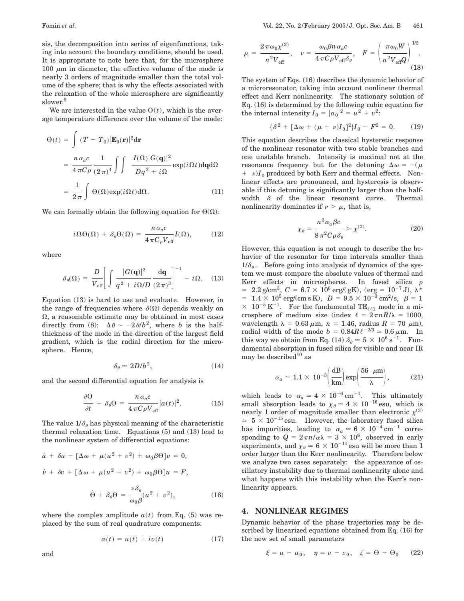sis, the decomposition into series of eigenfunctions, taking into account the boundary conditions, should be used. It is appropriate to note here that, for the microsphere 100  $\mu$ m in diameter, the effective volume of the mode is nearly 3 orders of magnitude smaller than the total volume of the sphere; that is why the effects associated with the relaxation of the whole microsphere are significantly slower.<sup>5</sup>

We are interested in the value  $\Theta(t)$ , which is the average temperature difference over the volume of the mode:

$$
\Theta(t) = \int (T - T_0) |\mathbf{E}_0(\mathbf{r})|^2 d\mathbf{r}
$$
  
= 
$$
\frac{n \alpha_a c}{4 \pi C \rho} \frac{1}{(2 \pi)^4} \int \int \frac{I(\Omega) |G(\mathbf{q})|^2}{Dq^2 + i\Omega} \exp(i\Omega t) d\mathbf{q} d\Omega
$$
  
= 
$$
\frac{1}{2 \pi} \int \Theta(\Omega) \exp(i\Omega t) d\Omega.
$$
 (11)

We can formally obtain the following equation for  $\Theta(\Omega)$ :

$$
i\Omega\Theta(\Omega) + \delta_{\theta}\Theta(\Omega) = \frac{n\alpha_{a}c}{4\pi C_{\rho}V_{\text{eff}}}I(\Omega),\qquad(12)
$$

where

$$
\delta_{\theta}(\Omega) = \frac{D}{V_{\text{eff}}} \left[ \int \frac{|G(\mathbf{q})|^2}{q^2 + i\Omega/D} \frac{d\mathbf{q}}{(2\pi)^3} \right]^{-1} - i\Omega. \quad (13)
$$

Equation (13) is hard to use and evaluate. However, in the range of frequencies where  $\delta(\Omega)$  depends weakly on  $\Omega$ , a reasonable estimate may be obtained in most cases directly from (8):  $\Delta \theta \sim -2 \theta/b^2$ , where *b* is the halfthickness of the mode in the direction of the largest field gradient, which is the radial direction for the microsphere. Hence,

$$
\delta_{\theta} \simeq 2D/b^2, \tag{14}
$$

and the second differential equation for analysis is

$$
\frac{\partial \Theta}{\partial t} + \delta_{\theta} \Theta = \frac{n \alpha_a c}{4 \pi C \rho V_{\text{eff}}} |a(t)|^2.
$$
 (15)

The value  $1/\delta_{\theta}$  has physical meaning of the characteristic thermal relaxation time. Equations (5) and (13) lead to the nonlinear system of differential equations:

$$
\dot{u} + \delta u - [\Delta \omega + \mu (u^2 + v^2) + \omega_0 \beta \Theta] v = 0,
$$
  

$$
\dot{v} + \delta v + [\Delta \omega + \mu (u^2 + v^2) + \omega_0 \beta \Theta] u = F,
$$
  

$$
\dot{\Theta} + \delta_\theta \Theta = \frac{\nu \delta_\theta}{\omega_0 \beta} (u^2 + v^2),
$$
 (16)

where the complex amplitude  $a(t)$  from Eq. (5) was replaced by the sum of real quadrature components:

$$
a(t) = u(t) + iv(t) \tag{17}
$$

 $1/2$ 

$$
\mu = \frac{2\,\pi\omega_0\chi^{(3)}}{n^2V_{\text{eff}}}, \quad \nu = \frac{\omega_0\beta n\,\alpha_a c}{4\,\pi C\rho V_{\text{eff}}\delta_\theta}, \quad F = \left(\frac{\pi\omega_0 W}{n^2V_{\text{eff}}Q}\right)^{1/2}.
$$
\n(18)

The system of Eqs. (16) describes the dynamic behavior of a microresonator, taking into account nonlinear thermal effect and Kerr nonlinearity. The stationary solution of Eq. (16) is determined by the following cubic equation for the internal intensity  $I_0 = |a_0|^2 = u^2 + v^2$ :

$$
\{\delta^2 + [\Delta \omega + (\mu + \nu)I_0]^2\}I_0 - F^2 = 0. \tag{19}
$$

This equation describes the classical hysteretic response of the nonlinear resonator with two stable branches and one unstable branch. Intensity is maximal not at the resonance frequency but for the detuning  $\Delta \omega = -(\mu)$  $+ \nu$ )*I*<sub>0</sub> produced by both Kerr and thermal effects. Nonlinear effects are pronounced, and hysteresis is observable if this detuning is significantly larger than the halfwidth  $\delta$  of the linear resonant curve. Thermal nonlinearity dominates if  $\nu > \mu$ , that is,

$$
\chi_{\theta} = \frac{n^3 \alpha_a \beta c}{8 \pi^2 C \rho \delta_{\theta}} > \chi^{(3)}.
$$
 (20)

However, this equation is not enough to describe the behavior of the resonator for time intervals smaller than  $1/\delta_{\theta}$ . Before going into analysis of dynamics of the system we must compare the absolute values of thermal and Kerr effects in microspheres. In fused silica  $\rho$  $= 2.2$  g/cm<sup>3</sup>,  $C = 6.7 \times 10^6$  erg/( gK), (erg =  $10^{-7}$  J),  $\lambda^*$  $\delta = \; 1.4 \times 10^5 \, \mathrm{erg/(cm \, s \, K)}, \; \; D = 9.5 \times 10^{-3} \, \mathrm{cm^2/s}, \; \; \beta = 1.5$  $\times$  10<sup>-5</sup> K<sup>-1</sup>. For the fundamental TE<sub> $\ell\ell$ 1</sub> mode in a microsphere of medium size (index  $\ell \approx 2\pi nR/\lambda = 1000$ , wavelength  $\lambda = 0.63 \mu \text{m}$ ,  $n = 1.46$ , radius  $R = 70 \mu \text{m}$ ), radial width of the mode  $b = 0.84R\ell^{-2/3} \approx 0.6 \,\mu \text{m}$ . In this way we obtain from Eq. (14)  $\delta_{\theta} \approx 5 \times 10^6 \text{ s}^{-1}$ . Fundamental absorption in fused silica for visible and near IR may be described $^{10}$  as

$$
\alpha_a \simeq 1.1 \times 10^{-3} \bigg( \frac{\text{dB}}{\text{km}} \bigg) \exp \bigg( \frac{56 \ \mu \text{m}}{\lambda} \bigg), \tag{21}
$$

which leads to  $\alpha_a \approx 4 \times 10^{-6} \text{ cm}^{-1}$ . This ultimately small absorption leads to  $\chi_{\theta} \simeq 4 \times 10^{-16}$  esu, which is nearly 1 order of magnitude smaller than electronic  $\chi^{(3)}$  $\approx$  5  $\times$  10<sup>-15</sup> esu. However, the laboratory fused silica has impurities, leading to  $\alpha_a \approx 6 \times 10^{-4} \text{ cm}^{-1}$  corresponding to  $Q = 2\pi n/\alpha\lambda = 3 \times 10^8$ , observed in early experiments, and  $\chi_{\theta} \simeq 6 \times 10^{-14}$  esu will be more than 1 order larger than the Kerr nonlinearity. Therefore below we analyze two cases separately: the appearance of oscillatory instability due to thermal nonlinearity alone and what happens with this instability when the Kerr's nonlinearity appears.

#### **4. NONLINEAR REGIMES**

Dynamic behavior of the phase trajectories may be described by linearized equations obtained from Eq. (16) for the new set of small parameters

$$
\xi = u - u_0, \quad \eta = v - v_0, \quad \zeta = \Theta - \Theta_0
$$
 (22)

and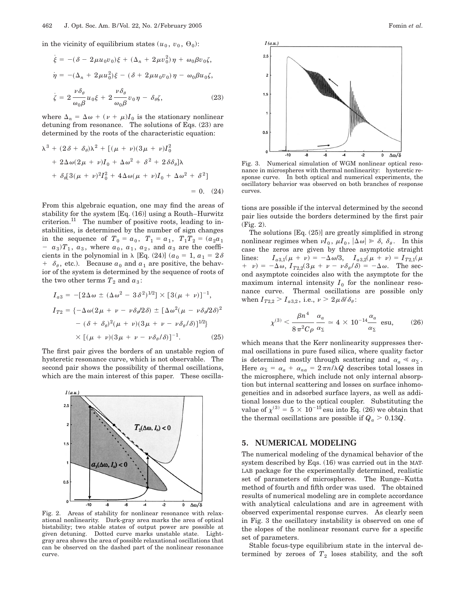in the vicinity of equilibrium states  $(u_0, v_0, \Theta_0)$ :

$$
\dot{\xi} = -(\delta - 2\mu u_0 v_0)\xi + (\Delta_n + 2\mu v_0^2)\eta + \omega_0 \beta v_0 \zeta,
$$
  

$$
\dot{\eta} = -(\Delta_n + 2\mu u_0^2)\xi - (\delta + 2\mu u_0 v_0)\eta - \omega_0 \beta u_0 \zeta,
$$
  

$$
\dot{\zeta} = 2\frac{\nu \delta_\theta}{\omega_0 \beta} u_0 \xi + 2\frac{\nu \delta_\theta}{\omega_0 \beta} v_0 \eta - \delta_\theta \zeta,
$$
 (23)

where  $\Delta_n = \Delta \omega + (\nu + \mu)I_0$  is the stationary nonlinear detuning from resonance. The solutions of Eqs. (23) are determined by the roots of the characteristic equation:

$$
\lambda^{3} + (2\delta + \delta_{\theta})\lambda^{2} + [(\mu + \nu)(3\mu + \nu)I_{0}^{2}
$$
  
+ 2\Delta\omega(2\mu + \nu)I\_{0} + \Delta\omega^{2} + \delta^{2} + 2\delta\delta\_{\theta}]\lambda  
+ \delta\_{\theta}[3(\mu + \nu)^{2}I\_{0}^{2} + 4\Delta\omega(\mu + \nu)I\_{0} + \Delta\omega^{2} + \delta^{2}]  
= 0. (24)

From this algebraic equation, one may find the areas of stability for the system [Eq. (16)] using a Routh–Hurwitz criterion. $^{11}$  The number of positive roots, leading to instabilities, is determined by the number of sign changes in the sequence of  $T_0 = a_0$ ,  $T_1 = a_1$ ,  $T_1T_2 = (a_2a_1)$  $a_3$ ) $T_1$ ,  $a_3$ , where  $a_0$ ,  $a_1$ ,  $a_2$ , and  $a_3$  are the coefficients in the polynomial in  $\lambda$  [Eq. (24)] ( $a_0 = 1, a_1 = 2\delta$  $+ \delta_{\theta}$ , etc.). Because  $a_0$  and  $a_1$  are positive, the behavior of the system is determined by the sequence of roots of the two other terms  $T_2$  and  $a_3$ :

$$
I_{a3} = -[2\Delta\omega \pm (\Delta\omega^2 - 3\delta^2)^{1/2}] \times [3(\mu + \nu)]^{-1},
$$
  
\n
$$
I_{T2} = \{-\Delta\omega(2\mu + \nu - \nu\delta_{\theta}/2\delta) \pm [\Delta\omega^2(\mu - \nu\delta_{\theta}/2\delta)^2
$$
  
\n
$$
- (\delta + \delta_{\theta})^2(\mu + \nu)(3\mu + \nu - \nu\delta_{\theta}/\delta)]^{1/2}\}\times [(\mu + \nu)(3\mu + \nu - \nu\delta_{\theta}/\delta)]^{-1}.
$$
 (25)

The first pair gives the borders of an unstable region of hysteretic resonance curve, which is not observable. The second pair shows the possibility of thermal oscillations, which are the main interest of this paper. These oscilla-



Fig. 2. Areas of stability for nonlinear resonance with relaxational nonlinearity. Dark-gray area marks the area of optical bistability; two stable states of output power are possible at given detuning. Dotted curve marks unstable state. Lightgray area shows the area of possible relaxational oscillations that can be observed on the dashed part of the nonlinear resonance curve.



Fig. 3. Numerical simulation of WGM nonlinear optical resonance in microspheres with thermal nonlinearity: hysteretic response curve. In both optical and numerical experiments, the oscillatory behavior was observed on both branches of response curves.

tions are possible if the interval determined by the second pair lies outside the borders determined by the first pair (Fig. 2).

The solutions [Eq. (25)] are greatly simplified in strong nonlinear regimes when  $\nu I_0$ ,  $\mu I_0$ ,  $|\Delta \omega| \gg \delta$ ,  $\delta_\theta$ . In this case the zeros are given by three asymptotic straight lines:  $I_{a3,1}(\mu + \nu) = -\Delta \omega/3$ ,  $I_{a3,2}(\mu + \nu) = I_{T2,1}(\mu)$  $+ \nu$ ) =  $-\Delta \omega$ ,  $I_{T2,2}(3\mu + \nu - \nu \delta_{\theta}/\delta) = -\Delta \omega$ . The second asymptote coincides also with the asymptote for the maximum internal intensity  $I_0$  for the nonlinear resonance curve. Thermal oscillations are possible only when  $I_{T2,2} > I_{a3,2}$ , i.e.,  $\nu > 2 \mu \delta / \delta_{\theta}$ :

$$
\chi^{(3)} < \frac{\beta n^4}{8\,\pi^2 C\rho} \frac{\alpha_a}{\alpha_{\Sigma}} \simeq 4 \times 10^{-14} \frac{\alpha_a}{\alpha_{\Sigma}} \text{ esu},\tag{26}
$$

which means that the Kerr nonlinearity suppresses thermal oscillations in pure fused silica, where quality factor is determined mostly through scattering and  $\alpha_a \ll \alpha_{\Sigma}$ . Here  $\alpha_{\Sigma} = \alpha_a + \alpha_{na} = 2\pi n/\lambda Q$  describes total losses in the microsphere, which include not only internal absorption but internal scattering and losses on surface inhomogeneities and in adsorbed surface layers, as well as additional losses due to the optical coupler. Substituting the value of  $\chi^{(3)} = 5 \times 10^{-15}$  esu into Eq. (26) we obtain that the thermal oscillations are possible if  $Q_a > 0.13Q$ .

## **5. NUMERICAL MODELING**

The numerical modeling of the dynamical behavior of the system described by Eqs. (16) was carried out in the MAT-LAB package for the experimentally determined, realistic set of parameters of microspheres. The Runge–Kutta method of fourth and fifth order was used. The obtained results of numerical modeling are in complete accordance with analytical calculations and are in agreement with observed experimental response curves. As clearly seen in Fig. 3 the oscillatory instability is observed on one of the slopes of the nonlinear resonant curve for a specific set of parameters.

Stable focus-type equilibrium state in the interval determined by zeroes of  $T_2$  loses stability, and the soft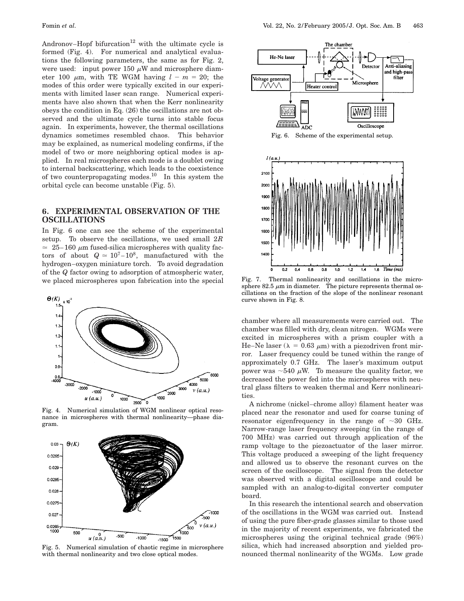Andronov–Hopf bifurcation<sup>12</sup> with the ultimate cycle is formed (Fig. 4). For numerical and analytical evaluations the following parameters, the same as for Fig. 2, were used: input power 150  $\mu$ W and microsphere diameter 100  $\mu$ m, with TE WGM having  $l - m = 20$ ; the modes of this order were typically excited in our experiments with limited laser scan range. Numerical experiments have also shown that when the Kerr nonlinearity obeys the condition in Eq. (26) the oscillations are not observed and the ultimate cycle turns into stable focus again. In experiments, however, the thermal oscillations dynamics sometimes resembled chaos. This behavior may be explained, as numerical modeling confirms, if the model of two or more neighboring optical modes is applied. In real microspheres each mode is a doublet owing to internal backscattering, which leads to the coexistence of two counterpropagating modes.<sup>10</sup> In this system the orbital cycle can become unstable (Fig. 5).

## **6. EXPERIMENTAL OBSERVATION OF THE OSCILLATIONS**

In Fig. 6 one can see the scheme of the experimental setup. To observe the oscillations, we used small 2*R*  $\approx$  25–160  $\mu$ m fused-silica microspheres with quality factors of about  $Q \approx 10^7 - 10^8$ , manufactured with the hydrogen–oxygen miniature torch. To avoid degradation of the *Q* factor owing to adsorption of atmospheric water, we placed microspheres upon fabrication into the special



Fig. 4. Numerical simulation of WGM nonlinear optical resonance in microspheres with thermal nonlinearity—phase diagram.



Fig. 5. Numerical simulation of chaotic regime in microsphere with thermal nonlinearity and two close optical modes.



Fig. 6. Scheme of the experimental setup.



Fig. 7. Thermal nonlinearity and oscillations in the microsphere 82.5  $\mu$ m in diameter. The picture represents thermal oscillations on the fraction of the slope of the nonlinear resonant curve shown in Fig. 8.

chamber where all measurements were carried out. The chamber was filled with dry, clean nitrogen. WGMs were excited in microspheres with a prism coupler with a He–Ne laser ( $\lambda = 0.63 \mu m$ ) with a piezodriven front mirror. Laser frequency could be tuned within the range of approximately 0.7 GHz. The laser's maximum output power was  $\sim$ 540  $\mu$ W. To measure the quality factor, we decreased the power fed into the microspheres with neutral glass filters to weaken thermal and Kerr nonlinearities.

A nichrome (nickel–chrome alloy) filament heater was placed near the resonator and used for coarse tuning of resonator eigenfrequency in the range of  $\sim$ 30 GHz. Narrow-range laser frequency sweeping (in the range of 700 MHz) was carried out through application of the ramp voltage to the piezoactuator of the laser mirror. This voltage produced a sweeping of the light frequency and allowed us to observe the resonant curves on the screen of the oscilloscope. The signal from the detector was observed with a digital oscilloscope and could be sampled with an analog-to-digital converter computer board.

In this research the intentional search and observation of the oscillations in the WGM was carried out. Instead of using the pure fiber-grade glasses similar to those used in the majority of recent experiments, we fabricated the microspheres using the original technical grade (96%) silica, which had increased absorption and yielded pronounced thermal nonlinearity of the WGMs. Low grade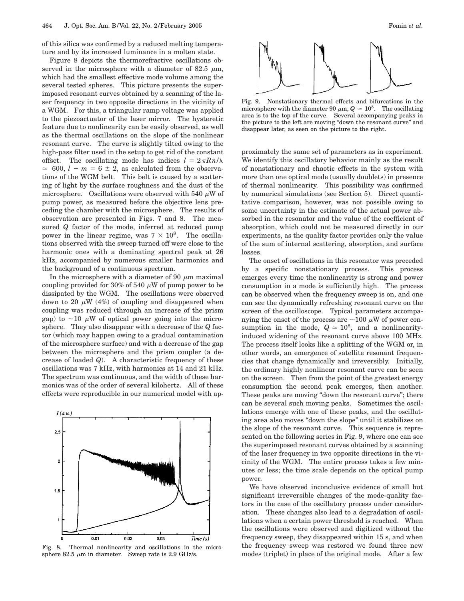of this silica was confirmed by a reduced melting temperature and by its increased luminance in a molten state.

Figure 8 depicts the thermorefractive oscillations observed in the microsphere with a diameter of 82.5  $\mu$ m, which had the smallest effective mode volume among the several tested spheres. This picture presents the superimposed resonant curves obtained by a scanning of the laser frequency in two opposite directions in the vicinity of a WGM. For this, a triangular ramp voltage was applied to the piezoactuator of the laser mirror. The hysteretic feature due to nonlinearity can be easily observed, as well as the thermal oscillations on the slope of the nonlinear resonant curve. The curve is slightly tilted owing to the high-pass filter used in the setup to get rid of the constant offset. The oscillating mode has indices  $l = 2\pi R n/\lambda$  $\approx$  600,  $l - m = 6 \pm 2$ , as calculated from the observations of the WGM belt. This belt is caused by a scattering of light by the surface roughness and the dust of the microsphere. Oscillations were observed with 540  $\mu$ W of pump power, as measured before the objective lens preceding the chamber with the microsphere. The results of observation are presented in Figs. 7 and 8. The measured *Q* factor of the mode, inferred at reduced pump power in the linear regime, was  $7 \times 10^8$ . The oscillations observed with the sweep turned off were close to the harmonic ones with a dominating spectral peak at 26 kHz, accompanied by numerous smaller harmonics and the background of a continuous spectrum.

In the microsphere with a diameter of 90  $\mu$ m maximal coupling provided for 30% of 540  $\mu$ W of pump power to be dissipated by the WGM. The oscillations were observed down to 20  $\mu$ W (4%) of coupling and disappeared when coupling was reduced (through an increase of the prism gap) to  $\sim$ 10  $\mu$ W of optical power going into the microsphere. They also disappear with a decrease of the *Q* factor (which may happen owing to a gradual contamination of the microsphere surface) and with a decrease of the gap between the microsphere and the prism coupler (a decrease of loaded *Q*). A characteristic frequency of these oscillations was 7 kHz, with harmonics at 14 and 21 kHz. The spectrum was continuous, and the width of these harmonics was of the order of several kilohertz. All of these effects were reproducible in our numerical model with ap-



Fig. 8. Thermal nonlinearity and oscillations in the microsphere 82.5  $\mu$ m in diameter. Sweep rate is 2.9 GHz/s.

Fig. 9. Nonstationary thermal effects and bifurcations in the microsphere with the diameter 90  $\mu$ m,  $Q \approx 10^8$ . The oscillating area is to the top of the curve. Several accompanying peaks in the picture to the left are moving ''down the resonant curve'' and disappear later, as seen on the picture to the right.

proximately the same set of parameters as in experiment. We identify this oscillatory behavior mainly as the result of nonstationary and chaotic effects in the system with more than one optical mode (usually doublets) in presence of thermal nonlinearity. This possibility was confirmed by numerical simulations (see Section 5). Direct quantitative comparison, however, was not possible owing to some uncertainty in the estimate of the actual power absorbed in the resonator and the value of the coefficient of absorption, which could not be measured directly in our experiments, as the quality factor provides only the value of the sum of internal scattering, absorption, and surface losses.

The onset of oscillations in this resonator was preceded by a specific nonstationary process. This process emerges every time the nonlinearity is strong and power consumption in a mode is sufficiently high. The process can be observed when the frequency sweep is on, and one can see the dynamically refreshing resonant curve on the screen of the oscilloscope. Typical parameters accompanying the onset of the process are  $\sim$ 100  $\mu$ W of power consumption in the mode,  $Q \approx 10^8$ , and a nonlinearityinduced widening of the resonant curve above 100 MHz. The process itself looks like a splitting of the WGM or, in other words, an emergence of satellite resonant frequencies that change dynamically and irreversibly. Initially, the ordinary highly nonlinear resonant curve can be seen on the screen. Then from the point of the greatest energy consumption the second peak emerges, then another. These peaks are moving "down the resonant curve"; there can be several such moving peaks. Sometimes the oscillations emerge with one of these peaks, and the oscillating area also moves ''down the slope'' until it stabilizes on the slope of the resonant curve. This sequence is represented on the following series in Fig. 9, where one can see the superimposed resonant curves obtained by a scanning of the laser frequency in two opposite directions in the vicinity of the WGM. The entire process takes a few minutes or less; the time scale depends on the optical pump power.

We have observed inconclusive evidence of small but significant irreversible changes of the mode-quality factors in the case of the oscillatory process under consideration. These changes also lead to a degradation of oscillations when a certain power threshold is reached. When the oscillations were observed and digitized without the frequency sweep, they disappeared within 15 s, and when the frequency sweep was restored we found three new modes (triplet) in place of the original mode. After a few